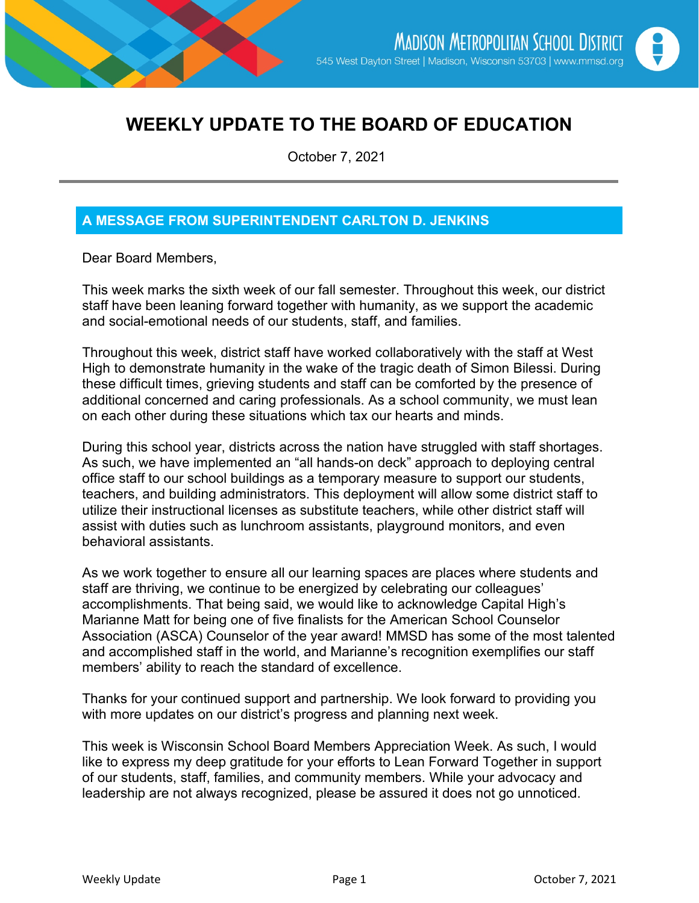

# **WEEKLY UPDATE TO THE BOARD OF EDUCATION**

October 7, 2021

## **A MESSAGE FROM SUPERINTENDENT CARLTON D. JENKINS**

Dear Board Members,

This week marks the sixth week of our fall semester. Throughout this week, our district staff have been leaning forward together with humanity, as we support the academic and social-emotional needs of our students, staff, and families.

Throughout this week, district staff have worked collaboratively with the staff at West High to demonstrate humanity in the wake of the tragic death of Simon Bilessi. During these difficult times, grieving students and staff can be comforted by the presence of additional concerned and caring professionals. As a school community, we must lean on each other during these situations which tax our hearts and minds.

During this school year, districts across the nation have struggled with staff shortages. As such, we have implemented an "all hands-on deck" approach to deploying central office staff to our school buildings as a temporary measure to support our students, teachers, and building administrators. This deployment will allow some district staff to utilize their instructional licenses as substitute teachers, while other district staff will assist with duties such as lunchroom assistants, playground monitors, and even behavioral assistants.

As we work together to ensure all our learning spaces are places where students and staff are thriving, we continue to be energized by celebrating our colleagues' accomplishments. That being said, we would like to acknowledge Capital High's Marianne Matt for being one of five finalists for the American School Counselor Association (ASCA) Counselor of the year award! MMSD has some of the most talented and accomplished staff in the world, and Marianne's recognition exemplifies our staff members' ability to reach the standard of excellence.

Thanks for your continued support and partnership. We look forward to providing you with more updates on our district's progress and planning next week.

This week is Wisconsin School Board Members Appreciation Week. As such, I would like to express my deep gratitude for your efforts to Lean Forward Together in support of our students, staff, families, and community members. While your advocacy and leadership are not always recognized, please be assured it does not go unnoticed.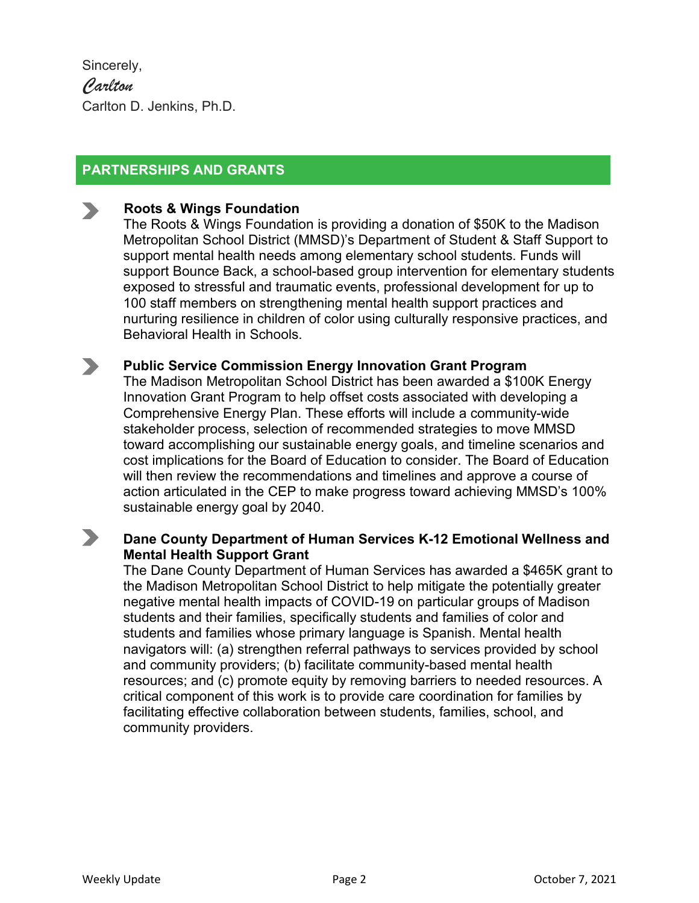Sincerely, *Carlton* Carlton D. Jenkins, Ph.D.

## **PARTNERSHIPS AND GRANTS**

#### **Roots & Wings Foundation**

The Roots & Wings Foundation is providing a donation of \$50K to the Madison Metropolitan School District (MMSD)'s Department of Student & Staff Support to support mental health needs among elementary school students. Funds will support Bounce Back, a school-based group intervention for elementary students exposed to stressful and traumatic events, professional development for up to 100 staff members on strengthening mental health support practices and nurturing resilience in children of color using culturally responsive practices, and Behavioral Health in Schools.

#### **Public Service Commission Energy Innovation Grant Program**  $\blacktriangleright$

The Madison Metropolitan School District has been awarded a \$100K Energy Innovation Grant Program to help offset costs associated with developing a Comprehensive Energy Plan. These efforts will include a community-wide stakeholder process, selection of recommended strategies to move MMSD toward accomplishing our sustainable energy goals, and timeline scenarios and cost implications for the Board of Education to consider. The Board of Education will then review the recommendations and timelines and approve a course of action articulated in the CEP to make progress toward achieving MMSD's 100% sustainable energy goal by 2040.

#### $\blacktriangleright$ **Dane County Department of Human Services K-12 Emotional Wellness and Mental Health Support Grant**

The Dane County Department of Human Services has awarded a \$465K grant to the Madison Metropolitan School District to help mitigate the potentially greater negative mental health impacts of COVID-19 on particular groups of Madison students and their families, specifically students and families of color and students and families whose primary language is Spanish. Mental health navigators will: (a) strengthen referral pathways to services provided by school and community providers; (b) facilitate community-based mental health resources; and (c) promote equity by removing barriers to needed resources. A critical component of this work is to provide care coordination for families by facilitating effective collaboration between students, families, school, and community providers.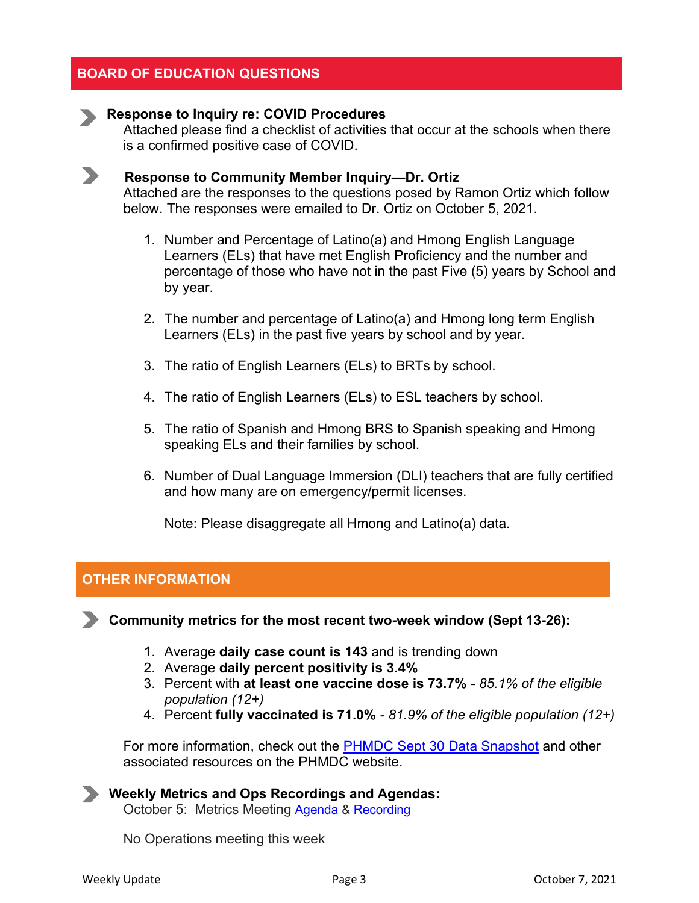#### **BOARD OF EDUCATION QUESTIONS**

#### **Response to Inquiry re: COVID Procedures**

Attached please find a checklist of activities that occur at the schools when there is a confirmed positive case of COVID.



#### **Response to Community Member Inquiry—Dr. Ortiz**

Attached are the responses to the questions posed by Ramon Ortiz which follow below. The responses were emailed to Dr. Ortiz on October 5, 2021.

- 1. Number and Percentage of Latino(a) and Hmong English Language Learners (ELs) that have met English Proficiency and the number and percentage of those who have not in the past Five (5) years by School and by year.
- 2. The number and percentage of Latino(a) and Hmong long term English Learners (ELs) in the past five years by school and by year.
- 3. The ratio of English Learners (ELs) to BRTs by school.
- 4. The ratio of English Learners (ELs) to ESL teachers by school.
- 5. The ratio of Spanish and Hmong BRS to Spanish speaking and Hmong speaking ELs and their families by school.
- 6. Number of Dual Language Immersion (DLI) teachers that are fully certified and how many are on emergency/permit licenses.

Note: Please disaggregate all Hmong and Latino(a) data.

#### **OTHER INFORMATION**

**Community metrics for the most recent two-week window (Sept 13-26):**

- 1. Average **daily case count is 143** and is trending down
- 2. Average **daily percent positivity is 3.4%**
- 3. Percent with **at least one vaccine dose is 73.7%** *- 85.1% of the eligible population (12+)*
- 4. Percent **fully vaccinated is 71.0%** *- 81.9% of the eligible population (12+)*

For more information, check out the [PHMDC Sept 30 Data Snapshot](https://publichealthmdc.com/documents/2021-09-30_data_snapshot.pdf) and other associated resources on the PHMDC website.

**Weekly Metrics and Ops Recordings and Agendas:** October 5: Metrics Meeting [Agenda](https://docs.google.com/document/d/1XLuhP_ph7Awrq_8oM7-E9SH3PqdqFwX5EJ3QpYlleY8/edit) & [Recording](https://madison-k12-wi-us.zoom.us/rec/share/91RLp5M7UmwnK2Ewvgjfj0jvcGpizsbMtJa3LCdORjFjjpAphfSUETTD27aaRV5A.RtXh4G6N4lFFZA0c?startTime=1633449417000)

No Operations meeting this week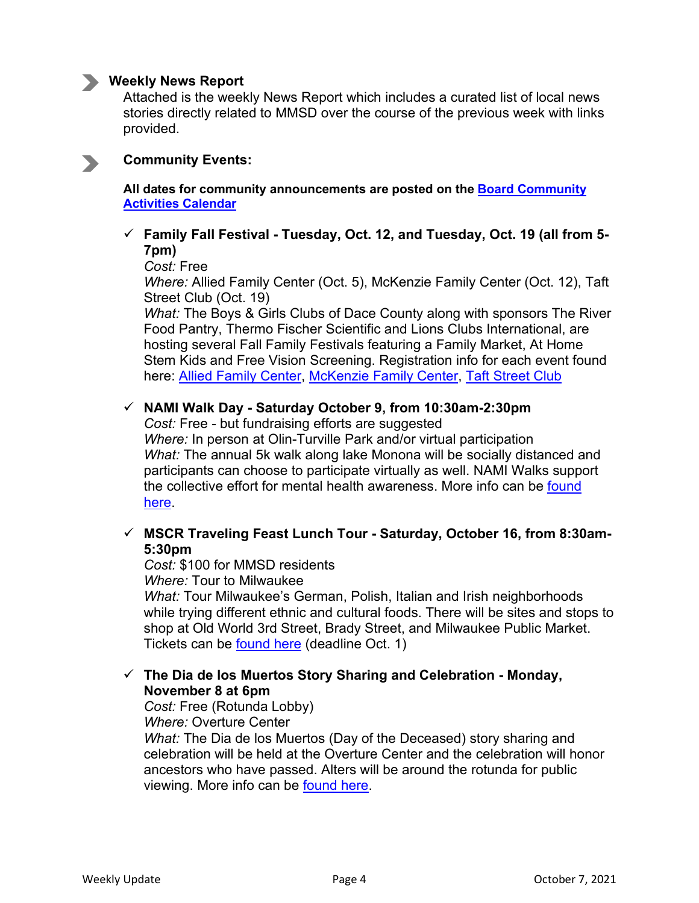

#### **Weekly News Report**

Attached is the weekly News Report which includes a curated list of local news stories directly related to MMSD over the course of the previous week with links provided.

#### **Community Events:**

**All dates for community announcements are posted on the [Board Community](https://www.google.com/calendar/embed?src=madison.k12.wi.us_hvjj6sln6vovtmuod2qk3utdo0%40group.calendar.google.com&ctz=America/Chicago)  [Activities Calendar](https://www.google.com/calendar/embed?src=madison.k12.wi.us_hvjj6sln6vovtmuod2qk3utdo0%40group.calendar.google.com&ctz=America/Chicago)**

#### **Family Fall Festival - Tuesday, Oct. 12, and Tuesday, Oct. 19 (all from 5- 7pm)**

*Cost:* Free

*Where:* Allied Family Center (Oct. 5), McKenzie Family Center (Oct. 12), Taft Street Club (Oct. 19)

*What:* The Boys & Girls Clubs of Dace County along with sponsors The River Food Pantry, Thermo Fischer Scientific and Lions Clubs International, are hosting several Fall Family Festivals featuring a Family Market, At Home Stem Kids and Free Vision Screening. Registration info for each event found here: [Allied Family Center,](https://l.facebook.com/l.php?u=https%3A%2F%2FGIVE.CLASSY.ORG%2F2021FALLFESTIVALALLIED%3Ffbclid%3DIwAR1iNsq1poRBrbPIsmDIfNnasbzgd9ZFS3M-9XKhddiHIP2wJAS_5kP1xV0&h=AT3rV4M6vEeEi87iJM-CBERUXeq9F06L2TfyE6i87-w9ICkGRjXCB-TMPl1Dp2VbgloDR-I7ZSdvZIX7mx87O_obNfsqR65ruacLIhA3z6hQS-muZlE_Eq70o7iLnFVmIjBL&__tn__=q&c%5b0%5d=AT2UU6i1t5JysqerouxJEmHG3K66Q328ygkGsHFzDZEinrp_w6CGzJkpZfNVXNk9krvjvz6xW6z4ccCvxF0l3tS22J8eP24z0x5REqlkeZ9ONkKz0zmBx3O53vFBYTDXjj-kH2Ch4k-DKlNJTqjZ-lQS) [McKenzie Family Center,](https://give.classy.org/2021FALLFESTSP) [Taft Street Club](https://give.classy.org/2021FALLFESTIVALTAFT)

#### **NAMI Walk Day - Saturday October 9, from 10:30am-2:30pm**

*Cost:* Free - but fundraising efforts are suggested *Where:* In person at Olin-Turville Park and/or virtual participation *What:* The annual 5k walk along lake Monona will be socially distanced and participants can choose to participate virtually as well. NAMI Walks support the collective effort for mental health awareness. More info can be found [here.](https://www.namiwalks.org/index.cfm?fuseaction=donorDrive.event&eventID=1078)

#### **MSCR Traveling Feast Lunch Tour - Saturday, October 16, from 8:30am-5:30pm**

*Cost:* \$100 for MMSD residents

*Where:* Tour to Milwaukee

*What:* Tour Milwaukee's German, Polish, Italian and Irish neighborhoods while trying different ethnic and cultural foods. There will be sites and stops to shop at Old World 3rd Street, Brady Street, and Milwaukee Public Market. Tickets can be [found here](http://apm.activecommunities.com/mscractivenet/Activity_Search/day-trips-indoor-a-traveling-feast-lunch-tour/24020) (deadline Oct. 1)

#### **The Dia de los Muertos Story Sharing and Celebration - Monday, November 8 at 6pm**

*Cost:* Free (Rotunda Lobby)

*Where:* Overture Center

*What:* The Dia de los Muertos (Day of the Deceased) story sharing and celebration will be held at the Overture Center and the celebration will honor ancestors who have passed. Alters will be around the rotunda for public viewing. More info can be [found here.](https://www.overture.org/events/dia-de-los-muertos?fbclid=IwAR2IQijkQfJmBV5cGRBz08kDFfik2MMwO21ivhwlstQzB3ffGmMzwxeQrr4)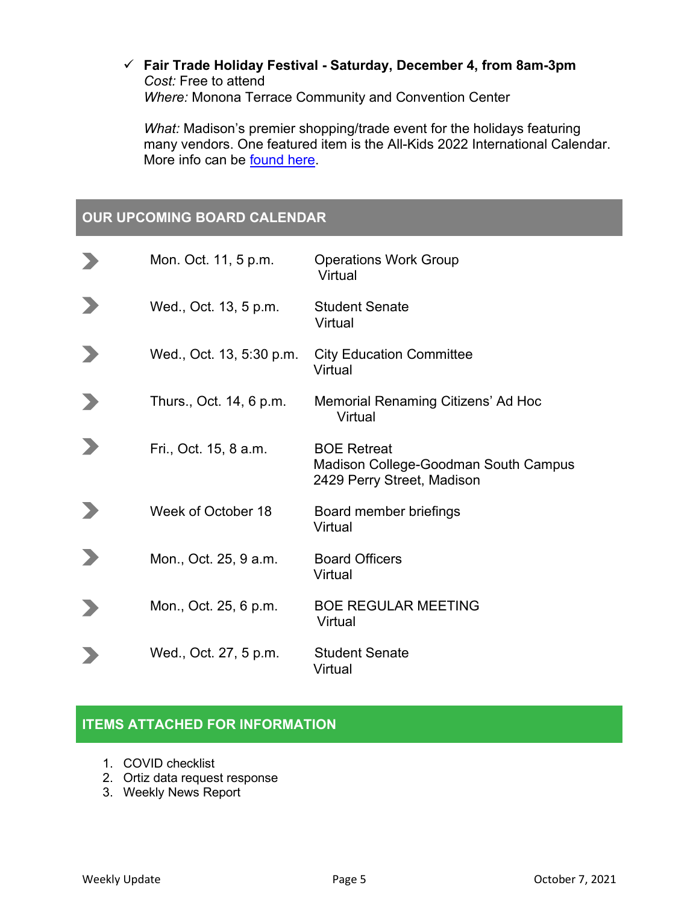#### **Fair Trade Holiday Festival - Saturday, December 4, from 8am-3pm** *Cost:* Free to attend *Where:* Monona Terrace Community and Convention Center

*What:* Madison's premier shopping/trade event for the holidays featuring many vendors. One featured item is the All-Kids 2022 International Calendar. More info can be **found here**.

### **OUR UPCOMING BOARD CALENDAR**

| Mon. Oct. 11, 5 p.m.     | <b>Operations Work Group</b><br>Virtual                                                  |
|--------------------------|------------------------------------------------------------------------------------------|
| Wed., Oct. 13, 5 p.m.    | <b>Student Senate</b><br>Virtual                                                         |
| Wed., Oct. 13, 5:30 p.m. | <b>City Education Committee</b><br>Virtual                                               |
| Thurs., Oct. 14, 6 p.m.  | Memorial Renaming Citizens' Ad Hoc<br>Virtual                                            |
| Fri., Oct. 15, 8 a.m.    | <b>BOE Retreat</b><br>Madison College-Goodman South Campus<br>2429 Perry Street, Madison |
| Week of October 18       | Board member briefings<br>Virtual                                                        |
| Mon., Oct. 25, 9 a.m.    | <b>Board Officers</b><br>Virtual                                                         |
| Mon., Oct. 25, 6 p.m.    | <b>BOE REGULAR MEETING</b><br>Virtual                                                    |
| Wed., Oct. 27, 5 p.m.    | <b>Student Senate</b><br>Virtual                                                         |

#### **ITEMS ATTACHED FOR INFORMATION**

- 1. COVID checklist
- 2. Ortiz data request response
- 3. Weekly News Report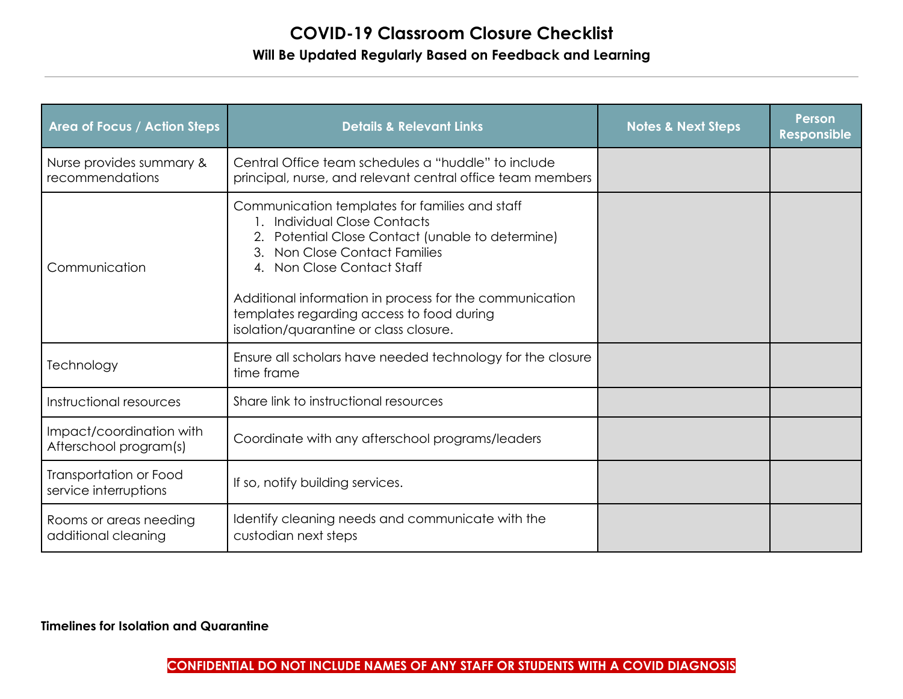## **COVID-19 Classroom Closure Checklist Will Be Updated Regularly Based on Feedback and Learning**

| <b>Area of Focus / Action Steps</b>                | <b>Details &amp; Relevant Links</b>                                                                                                                                                                                                                                                                                                                     | <b>Notes &amp; Next Steps</b> | <b>Person</b><br><b>Responsible</b> |
|----------------------------------------------------|---------------------------------------------------------------------------------------------------------------------------------------------------------------------------------------------------------------------------------------------------------------------------------------------------------------------------------------------------------|-------------------------------|-------------------------------------|
| Nurse provides summary &<br>recommendations        | Central Office team schedules a "huddle" to include<br>principal, nurse, and relevant central office team members                                                                                                                                                                                                                                       |                               |                                     |
| Communication                                      | Communication templates for families and staff<br><b>Individual Close Contacts</b><br>2. Potential Close Contact (unable to determine)<br>Non Close Contact Families<br>3.<br>Non Close Contact Staff<br>Additional information in process for the communication<br>templates regarding access to food during<br>isolation/quarantine or class closure. |                               |                                     |
| Technology                                         | Ensure all scholars have needed technology for the closure<br>time frame                                                                                                                                                                                                                                                                                |                               |                                     |
| Instructional resources                            | Share link to instructional resources                                                                                                                                                                                                                                                                                                                   |                               |                                     |
| Impact/coordination with<br>Afterschool program(s) | Coordinate with any afterschool programs/leaders                                                                                                                                                                                                                                                                                                        |                               |                                     |
| Transportation or Food<br>service interruptions    | If so, notify building services.                                                                                                                                                                                                                                                                                                                        |                               |                                     |
| Rooms or areas needing<br>additional cleaning      | Identify cleaning needs and communicate with the<br>custodian next steps                                                                                                                                                                                                                                                                                |                               |                                     |

#### **Timelines for Isolation and Quarantine**

**CONFIDENTIAL DO NOT INCLUDE NAMES OF ANY STAFF OR STUDENTS WITH A COVID DIAGNOSIS**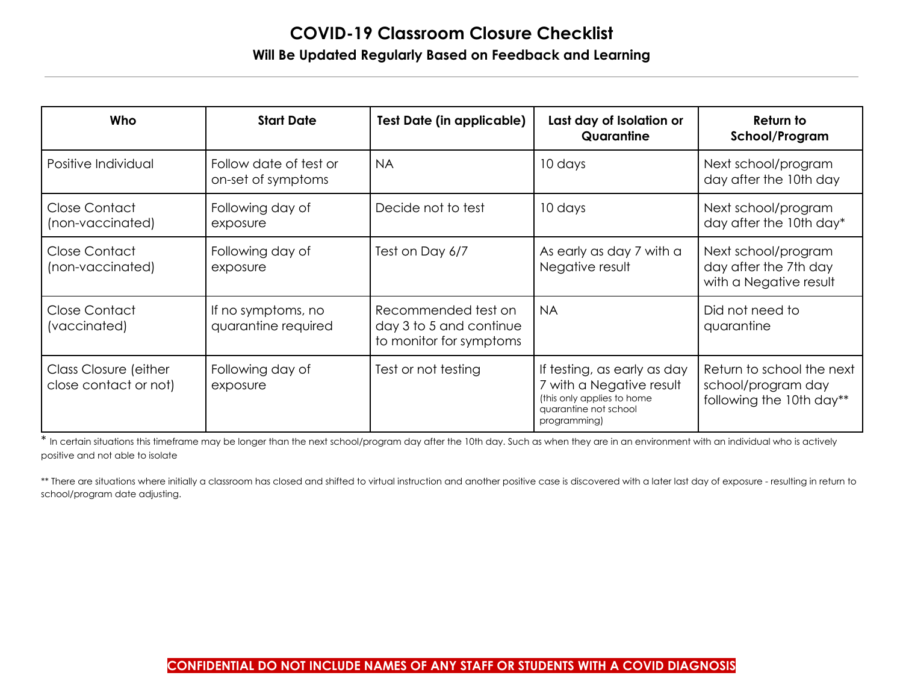# **COVID-19 Classroom Closure Checklist Will Be Updated Regularly Based on Feedback and Learning**

| Who                                            | <b>Start Date</b>                            | <b>Test Date (in applicable)</b>                                          | Last day of Isolation or<br>Quarantine                                                                                         | Return to<br>School/Program                                                 |
|------------------------------------------------|----------------------------------------------|---------------------------------------------------------------------------|--------------------------------------------------------------------------------------------------------------------------------|-----------------------------------------------------------------------------|
| Positive Individual                            | Follow date of test or<br>on-set of symptoms | <b>NA</b>                                                                 | 10 days                                                                                                                        | Next school/program<br>day after the 10th day                               |
| Close Contact<br>(non-vaccinated)              | Following day of<br>exposure                 | Decide not to test                                                        | 10 days                                                                                                                        | Next school/program<br>day after the 10th day*                              |
| Close Contact<br>(non-vaccinated)              | Following day of<br>exposure                 | Test on Day 6/7                                                           | As early as day 7 with a<br>Negative result                                                                                    | Next school/program<br>day after the 7th day<br>with a Negative result      |
| Close Contact<br>(vaccinated)                  | If no symptoms, no<br>quarantine required    | Recommended test on<br>day 3 to 5 and continue<br>to monitor for symptoms | <b>NA</b>                                                                                                                      | Did not need to<br>quarantine                                               |
| Class Closure (either<br>close contact or not) | Following day of<br>exposure                 | Test or not testing                                                       | If testing, as early as day<br>7 with a Negative result<br>(this only applies to home<br>quarantine not school<br>programming) | Return to school the next<br>school/program day<br>following the 10th day** |

\* In certain situations this timeframe may be longer than the next school/program day after the 10th day. Such as when they are in an environment with an individual who is actively positive and not able to isolate

\*\* There are situations where initially a classroom has closed and shifted to virtual instruction and another positive case is discovered with a later last day of exposure - resulting in return to school/program date adjusting.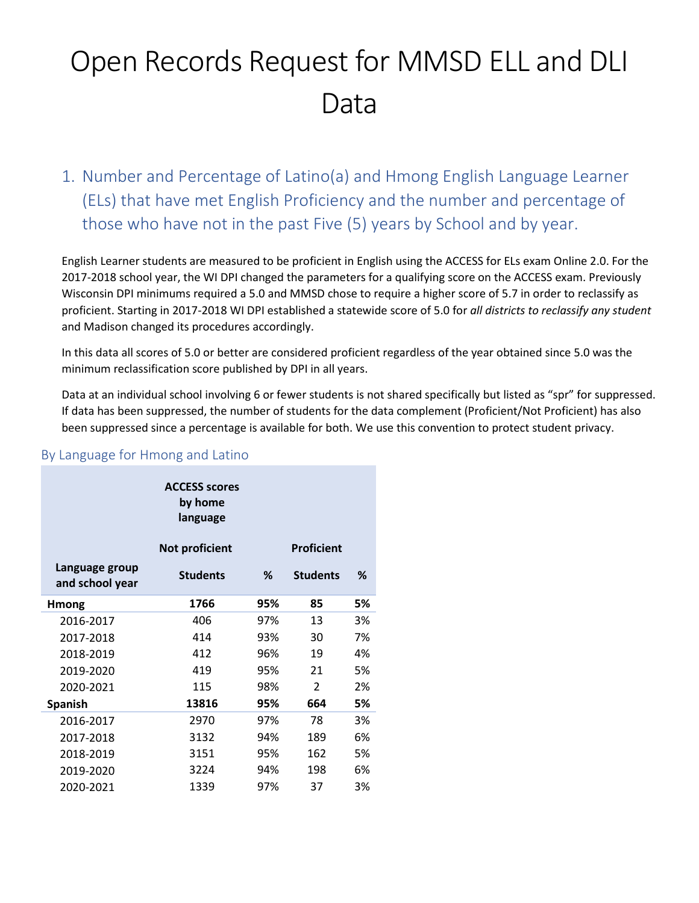# Open Records Request for MMSD ELL and DLI Data

1. Number and Percentage of Latino(a) and Hmong English Language Learner (ELs) that have met English Proficiency and the number and percentage of those who have not in the past Five (5) years by School and by year.

English Learner students are measured to be proficient in English using the ACCESS for ELs exam Online 2.0. For the 2017-2018 school year, the WI DPI changed the parameters for a qualifying score on the ACCESS exam. Previously Wisconsin DPI minimums required a 5.0 and MMSD chose to require a higher score of 5.7 in order to reclassify as proficient. Starting in 2017-2018 WI DPI established a statewide score of 5.0 for *all districts to reclassify any student* and Madison changed its procedures accordingly.

In this data all scores of 5.0 or better are considered proficient regardless of the year obtained since 5.0 was the minimum reclassification score published by DPI in all years.

Data at an individual school involving 6 or fewer students is not shared specifically but listed as "spr" for suppressed. If data has been suppressed, the number of students for the data complement (Proficient/Not Proficient) has also been suppressed since a percentage is available for both. We use this convention to protect student privacy.

|                                   | <b>ACCESS scores</b><br>by home<br>language |     |                          |    |
|-----------------------------------|---------------------------------------------|-----|--------------------------|----|
|                                   | <b>Not proficient</b>                       |     | <b>Proficient</b>        |    |
| Language group<br>and school year | <b>Students</b>                             | %   | <b>Students</b>          | %  |
| <b>Hmong</b>                      | 1766                                        | 95% | 85                       | 5% |
| 2016-2017                         | 406                                         | 97% | 13                       | 3% |
| 2017-2018                         | 414                                         | 93% | 30                       | 7% |
| 2018-2019                         | 412                                         | 96% | 19                       | 4% |
| 2019-2020                         | 419                                         | 95% | 21                       | 5% |
| 2020-2021                         | 115                                         | 98% | $\overline{\phantom{a}}$ | 2% |
| <b>Spanish</b>                    | 13816                                       | 95% | 664                      | 5% |
| 2016-2017                         | 2970                                        | 97% | 78                       | 3% |
| 2017-2018                         | 3132                                        | 94% | 189                      | 6% |
| 2018-2019                         | 3151                                        | 95% | 162                      | 5% |
| 2019-2020                         | 3224                                        | 94% | 198                      | 6% |
| 2020-2021                         | 1339                                        | 97% | 37                       | 3% |

### By Language for Hmong and Latino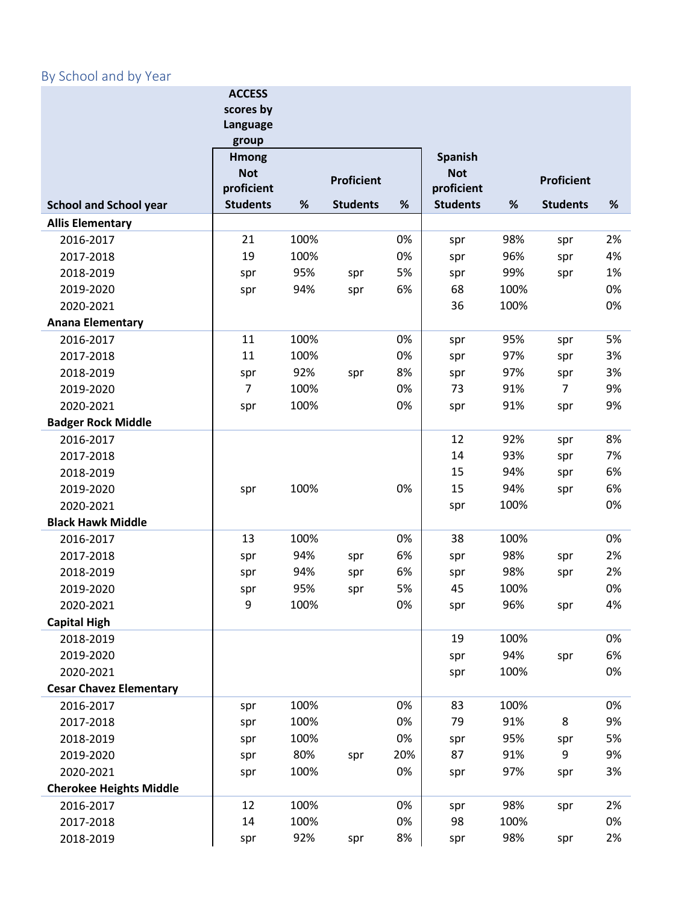# By School and by Year

|                                | <b>ACCESS</b>            |      |                   |     |                          |      |                   |      |
|--------------------------------|--------------------------|------|-------------------|-----|--------------------------|------|-------------------|------|
|                                | scores by                |      |                   |     |                          |      |                   |      |
|                                | Language                 |      |                   |     |                          |      |                   |      |
|                                | group                    |      |                   |     |                          |      |                   |      |
|                                | <b>Hmong</b>             |      |                   |     | <b>Spanish</b>           |      |                   |      |
|                                | <b>Not</b><br>proficient |      | <b>Proficient</b> |     | <b>Not</b><br>proficient |      | <b>Proficient</b> |      |
| <b>School and School year</b>  | <b>Students</b>          | $\%$ | <b>Students</b>   | %   | <b>Students</b>          | $\%$ | <b>Students</b>   | $\%$ |
| <b>Allis Elementary</b>        |                          |      |                   |     |                          |      |                   |      |
| 2016-2017                      | 21                       | 100% |                   | 0%  | spr                      | 98%  | spr               | 2%   |
| 2017-2018                      | 19                       | 100% |                   | 0%  | spr                      | 96%  | spr               | 4%   |
| 2018-2019                      | spr                      | 95%  | spr               | 5%  | spr                      | 99%  | spr               | 1%   |
| 2019-2020                      | spr                      | 94%  | spr               | 6%  | 68                       | 100% |                   | 0%   |
| 2020-2021                      |                          |      |                   |     | 36                       | 100% |                   | 0%   |
| <b>Anana Elementary</b>        |                          |      |                   |     |                          |      |                   |      |
| 2016-2017                      | 11                       | 100% |                   | 0%  | spr                      | 95%  | spr               | 5%   |
| 2017-2018                      | 11                       | 100% |                   | 0%  | spr                      | 97%  | spr               | 3%   |
| 2018-2019                      | spr                      | 92%  | spr               | 8%  | spr                      | 97%  | spr               | 3%   |
| 2019-2020                      | $\overline{7}$           | 100% |                   | 0%  | 73                       | 91%  | $\overline{7}$    | 9%   |
| 2020-2021                      | spr                      | 100% |                   | 0%  | spr                      | 91%  | spr               | 9%   |
| <b>Badger Rock Middle</b>      |                          |      |                   |     |                          |      |                   |      |
| 2016-2017                      |                          |      |                   |     | 12                       | 92%  | spr               | 8%   |
| 2017-2018                      |                          |      |                   |     | 14                       | 93%  | spr               | 7%   |
| 2018-2019                      |                          |      |                   |     | 15                       | 94%  | spr               | 6%   |
| 2019-2020                      | spr                      | 100% |                   | 0%  | 15                       | 94%  | spr               | 6%   |
| 2020-2021                      |                          |      |                   |     | spr                      | 100% |                   | 0%   |
| <b>Black Hawk Middle</b>       |                          |      |                   |     |                          |      |                   |      |
| 2016-2017                      | 13                       | 100% |                   | 0%  | 38                       | 100% |                   | 0%   |
| 2017-2018                      | spr                      | 94%  | spr               | 6%  | spr                      | 98%  | spr               | 2%   |
| 2018-2019                      | spr                      | 94%  | spr               | 6%  | spr                      | 98%  | spr               | 2%   |
| 2019-2020                      | spr                      | 95%  | spr               | 5%  | 45                       | 100% |                   | 0%   |
| 2020-2021                      | 9                        | 100% |                   | 0%  | spr                      | 96%  | spr               | 4%   |
| <b>Capital High</b>            |                          |      |                   |     |                          |      |                   |      |
| 2018-2019                      |                          |      |                   |     | 19                       | 100% |                   | 0%   |
| 2019-2020                      |                          |      |                   |     | spr                      | 94%  | spr               | 6%   |
| 2020-2021                      |                          |      |                   |     | spr                      | 100% |                   | 0%   |
| <b>Cesar Chavez Elementary</b> |                          |      |                   |     |                          |      |                   |      |
| 2016-2017                      | spr                      | 100% |                   | 0%  | 83                       | 100% |                   | 0%   |
| 2017-2018                      | spr                      | 100% |                   | 0%  | 79                       | 91%  | 8                 | 9%   |
| 2018-2019                      | spr                      | 100% |                   | 0%  | spr                      | 95%  | spr               | 5%   |
| 2019-2020                      | spr                      | 80%  | spr               | 20% | 87                       | 91%  | 9                 | 9%   |
| 2020-2021                      | spr                      | 100% |                   | 0%  | spr                      | 97%  | spr               | 3%   |
| <b>Cherokee Heights Middle</b> |                          |      |                   |     |                          |      |                   |      |
| 2016-2017                      | 12                       | 100% |                   | 0%  | spr                      | 98%  | spr               | 2%   |
| 2017-2018                      | 14                       | 100% |                   | 0%  | 98                       | 100% |                   | 0%   |
| 2018-2019                      | spr                      | 92%  | spr               | 8%  | spr                      | 98%  | spr               | 2%   |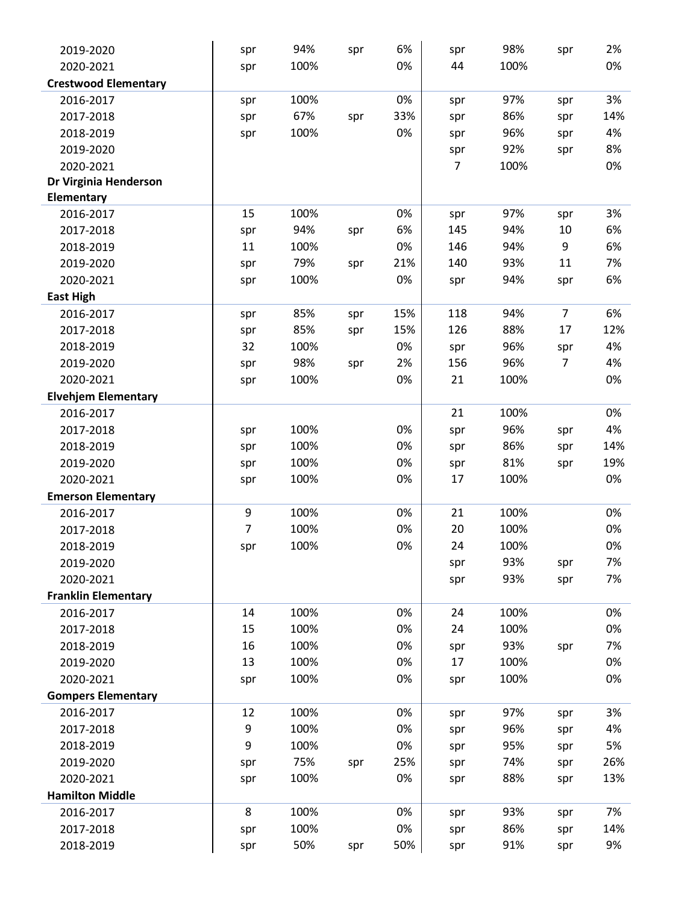| 2019-2020                   | spr            | 94%  | spr | 6%  | spr | 98%  | spr            | 2%  |
|-----------------------------|----------------|------|-----|-----|-----|------|----------------|-----|
| 2020-2021                   | spr            | 100% |     | 0%  | 44  | 100% |                | 0%  |
| <b>Crestwood Elementary</b> |                |      |     |     |     |      |                |     |
| 2016-2017                   | spr            | 100% |     | 0%  | spr | 97%  | spr            | 3%  |
| 2017-2018                   | spr            | 67%  | spr | 33% | spr | 86%  | spr            | 14% |
| 2018-2019                   | spr            | 100% |     | 0%  | spr | 96%  | spr            | 4%  |
| 2019-2020                   |                |      |     |     | spr | 92%  | spr            | 8%  |
| 2020-2021                   |                |      |     |     | 7   | 100% |                | 0%  |
| Dr Virginia Henderson       |                |      |     |     |     |      |                |     |
| Elementary                  |                |      |     |     |     |      |                |     |
| 2016-2017                   | 15             | 100% |     | 0%  | spr | 97%  | spr            | 3%  |
| 2017-2018                   | spr            | 94%  | spr | 6%  | 145 | 94%  | 10             | 6%  |
| 2018-2019                   | 11             | 100% |     | 0%  | 146 | 94%  | 9              | 6%  |
| 2019-2020                   | spr            | 79%  | spr | 21% | 140 | 93%  | 11             | 7%  |
| 2020-2021                   | spr            | 100% |     | 0%  | spr | 94%  | spr            | 6%  |
| <b>East High</b>            |                |      |     |     |     |      |                |     |
| 2016-2017                   | spr            | 85%  | spr | 15% | 118 | 94%  | $\overline{7}$ | 6%  |
| 2017-2018                   | spr            | 85%  | spr | 15% | 126 | 88%  | 17             | 12% |
| 2018-2019                   | 32             | 100% |     | 0%  | spr | 96%  | spr            | 4%  |
| 2019-2020                   | spr            | 98%  | spr | 2%  | 156 | 96%  | 7              | 4%  |
| 2020-2021                   | spr            | 100% |     | 0%  | 21  | 100% |                | 0%  |
| <b>Elvehjem Elementary</b>  |                |      |     |     |     |      |                |     |
| 2016-2017                   |                |      |     |     | 21  | 100% |                | 0%  |
| 2017-2018                   | spr            | 100% |     | 0%  | spr | 96%  | spr            | 4%  |
| 2018-2019                   | spr            | 100% |     | 0%  | spr | 86%  | spr            | 14% |
| 2019-2020                   | spr            | 100% |     | 0%  | spr | 81%  | spr            | 19% |
| 2020-2021                   | spr            | 100% |     | 0%  | 17  | 100% |                | 0%  |
| <b>Emerson Elementary</b>   |                |      |     |     |     |      |                |     |
| 2016-2017                   | 9              | 100% |     | 0%  | 21  | 100% |                | 0%  |
| 2017-2018                   | $\overline{7}$ | 100% |     | 0%  | 20  | 100% |                | 0%  |
| 2018-2019                   | spr            | 100% |     | 0%  | 24  | 100% |                | 0%  |
| 2019-2020                   |                |      |     |     | spr | 93%  | spr            | 7%  |
| 2020-2021                   |                |      |     |     | spr | 93%  | spr            | 7%  |
| <b>Franklin Elementary</b>  |                |      |     |     |     |      |                |     |
| 2016-2017                   | 14             | 100% |     | 0%  | 24  | 100% |                | 0%  |
| 2017-2018                   | 15             | 100% |     | 0%  | 24  | 100% |                | 0%  |
| 2018-2019                   | 16             | 100% |     | 0%  | spr | 93%  | spr            | 7%  |
| 2019-2020                   | 13             | 100% |     | 0%  | 17  | 100% |                | 0%  |
| 2020-2021                   | spr            | 100% |     | 0%  | spr | 100% |                | 0%  |
| <b>Gompers Elementary</b>   |                |      |     |     |     |      |                |     |
| 2016-2017                   | 12             | 100% |     | 0%  | spr | 97%  | spr            | 3%  |
| 2017-2018                   | 9              | 100% |     | 0%  | spr | 96%  | spr            | 4%  |
| 2018-2019                   | 9              | 100% |     | 0%  | spr | 95%  | spr            | 5%  |
| 2019-2020                   | spr            | 75%  | spr | 25% | spr | 74%  | spr            | 26% |
| 2020-2021                   | spr            | 100% |     | 0%  | spr | 88%  | spr            | 13% |
| <b>Hamilton Middle</b>      |                |      |     |     |     |      |                |     |
| 2016-2017                   | 8              | 100% |     | 0%  | spr | 93%  | spr            | 7%  |
| 2017-2018                   | spr            | 100% |     | 0%  | spr | 86%  | spr            | 14% |
| 2018-2019                   | spr            | 50%  | spr | 50% | spr | 91%  | spr            | 9%  |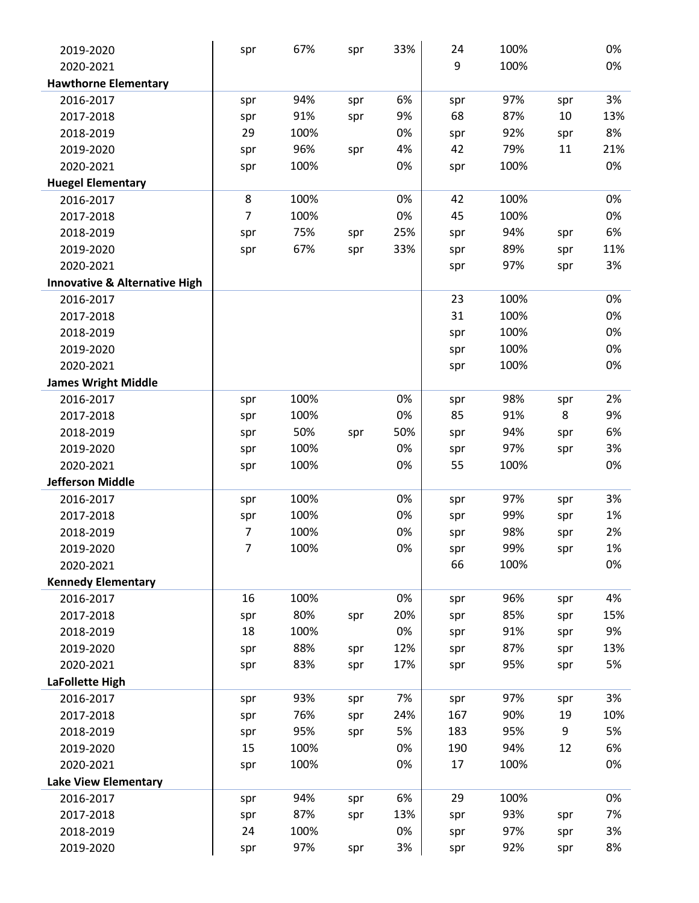| 2019-2020                                | spr | 67%  | spr | 33% | 24  | 100% |     | 0%  |
|------------------------------------------|-----|------|-----|-----|-----|------|-----|-----|
| 2020-2021                                |     |      |     |     | 9   | 100% |     | 0%  |
| <b>Hawthorne Elementary</b>              |     |      |     |     |     |      |     |     |
| 2016-2017                                | spr | 94%  | spr | 6%  | spr | 97%  | spr | 3%  |
| 2017-2018                                | spr | 91%  | spr | 9%  | 68  | 87%  | 10  | 13% |
| 2018-2019                                | 29  | 100% |     | 0%  | spr | 92%  | spr | 8%  |
| 2019-2020                                | spr | 96%  | spr | 4%  | 42  | 79%  | 11  | 21% |
| 2020-2021                                | spr | 100% |     | 0%  | spr | 100% |     | 0%  |
| <b>Huegel Elementary</b>                 |     |      |     |     |     |      |     |     |
| 2016-2017                                | 8   | 100% |     | 0%  | 42  | 100% |     | 0%  |
| 2017-2018                                | 7   | 100% |     | 0%  | 45  | 100% |     | 0%  |
| 2018-2019                                | spr | 75%  | spr | 25% | spr | 94%  | spr | 6%  |
| 2019-2020                                | spr | 67%  | spr | 33% | spr | 89%  | spr | 11% |
| 2020-2021                                |     |      |     |     | spr | 97%  | spr | 3%  |
| <b>Innovative &amp; Alternative High</b> |     |      |     |     |     |      |     |     |
| 2016-2017                                |     |      |     |     | 23  | 100% |     | 0%  |
| 2017-2018                                |     |      |     |     | 31  | 100% |     | 0%  |
| 2018-2019                                |     |      |     |     | spr | 100% |     | 0%  |
| 2019-2020                                |     |      |     |     | spr | 100% |     | 0%  |
| 2020-2021                                |     |      |     |     | spr | 100% |     | 0%  |
| <b>James Wright Middle</b>               |     |      |     |     |     |      |     |     |
| 2016-2017                                | spr | 100% |     | 0%  | spr | 98%  | spr | 2%  |
| 2017-2018                                | spr | 100% |     | 0%  | 85  | 91%  | 8   | 9%  |
| 2018-2019                                | spr | 50%  | spr | 50% | spr | 94%  | spr | 6%  |
| 2019-2020                                | spr | 100% |     | 0%  | spr | 97%  | spr | 3%  |
| 2020-2021                                | spr | 100% |     | 0%  | 55  | 100% |     | 0%  |
| <b>Jefferson Middle</b>                  |     |      |     |     |     |      |     |     |
| 2016-2017                                | spr | 100% |     | 0%  | spr | 97%  | spr | 3%  |
| 2017-2018                                | spr | 100% |     | 0%  | spr | 99%  | spr | 1%  |
| 2018-2019                                | 7   | 100% |     | 0%  | spr | 98%  | spr | 2%  |
| 2019-2020                                | 7   | 100% |     | 0%  | spr | 99%  | spr | 1%  |
| 2020-2021                                |     |      |     |     | 66  | 100% |     | 0%  |
| <b>Kennedy Elementary</b>                |     |      |     |     |     |      |     |     |
| 2016-2017                                | 16  | 100% |     | 0%  | spr | 96%  | spr | 4%  |
| 2017-2018                                | spr | 80%  | spr | 20% | spr | 85%  | spr | 15% |
| 2018-2019                                | 18  | 100% |     | 0%  | spr | 91%  | spr | 9%  |
| 2019-2020                                | spr | 88%  | spr | 12% | spr | 87%  | spr | 13% |
| 2020-2021                                | spr | 83%  | spr | 17% | spr | 95%  | spr | 5%  |
| LaFollette High                          |     |      |     |     |     |      |     |     |
| 2016-2017                                | spr | 93%  | spr | 7%  | spr | 97%  | spr | 3%  |
| 2017-2018                                | spr | 76%  | spr | 24% | 167 | 90%  | 19  | 10% |
| 2018-2019                                | spr | 95%  | spr | 5%  | 183 | 95%  | 9   | 5%  |
| 2019-2020                                | 15  | 100% |     | 0%  | 190 | 94%  | 12  | 6%  |
| 2020-2021                                | spr | 100% |     | 0%  | 17  | 100% |     | 0%  |
| <b>Lake View Elementary</b>              |     |      |     |     |     |      |     |     |
| 2016-2017                                | spr | 94%  | spr | 6%  | 29  | 100% |     | 0%  |
| 2017-2018                                | spr | 87%  | spr | 13% | spr | 93%  | spr | 7%  |
| 2018-2019                                | 24  | 100% |     | 0%  | spr | 97%  | spr | 3%  |
| 2019-2020                                | spr | 97%  | spr | 3%  | spr | 92%  | spr | 8%  |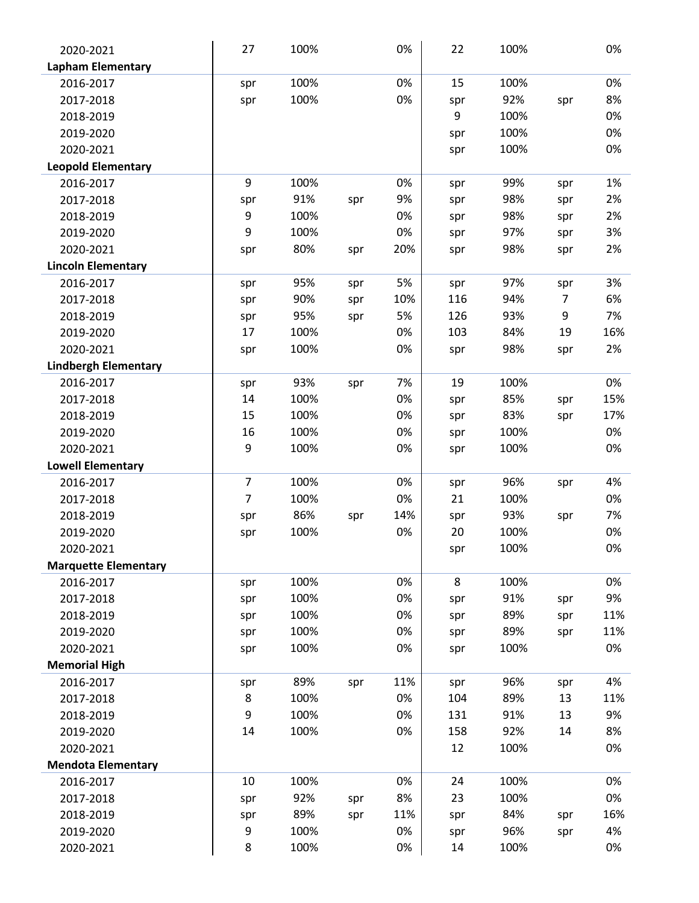| 2020-2021                   | 27             | 100% |     | 0%  | 22  | 100% |                | 0%  |
|-----------------------------|----------------|------|-----|-----|-----|------|----------------|-----|
| <b>Lapham Elementary</b>    |                |      |     |     |     |      |                |     |
| 2016-2017                   | spr            | 100% |     | 0%  | 15  | 100% |                | 0%  |
| 2017-2018                   | spr            | 100% |     | 0%  | spr | 92%  | spr            | 8%  |
| 2018-2019                   |                |      |     |     | 9   | 100% |                | 0%  |
| 2019-2020                   |                |      |     |     | spr | 100% |                | 0%  |
| 2020-2021                   |                |      |     |     | spr | 100% |                | 0%  |
| <b>Leopold Elementary</b>   |                |      |     |     |     |      |                |     |
| 2016-2017                   | 9              | 100% |     | 0%  | spr | 99%  | spr            | 1%  |
| 2017-2018                   | spr            | 91%  | spr | 9%  | spr | 98%  | spr            | 2%  |
| 2018-2019                   | 9              | 100% |     | 0%  | spr | 98%  | spr            | 2%  |
| 2019-2020                   | 9              | 100% |     | 0%  | spr | 97%  | spr            | 3%  |
| 2020-2021                   | spr            | 80%  | spr | 20% | spr | 98%  | spr            | 2%  |
| <b>Lincoln Elementary</b>   |                |      |     |     |     |      |                |     |
| 2016-2017                   | spr            | 95%  | spr | 5%  | spr | 97%  | spr            | 3%  |
| 2017-2018                   | spr            | 90%  | spr | 10% | 116 | 94%  | $\overline{7}$ | 6%  |
| 2018-2019                   | spr            | 95%  | spr | 5%  | 126 | 93%  | 9              | 7%  |
| 2019-2020                   | 17             | 100% |     | 0%  | 103 | 84%  | 19             | 16% |
| 2020-2021                   | spr            | 100% |     | 0%  | spr | 98%  | spr            | 2%  |
| <b>Lindbergh Elementary</b> |                |      |     |     |     |      |                |     |
| 2016-2017                   | spr            | 93%  | spr | 7%  | 19  | 100% |                | 0%  |
| 2017-2018                   | 14             | 100% |     | 0%  | spr | 85%  | spr            | 15% |
| 2018-2019                   | 15             | 100% |     | 0%  | spr | 83%  | spr            | 17% |
| 2019-2020                   | 16             | 100% |     | 0%  | spr | 100% |                | 0%  |
| 2020-2021                   | 9              | 100% |     | 0%  | spr | 100% |                | 0%  |
| <b>Lowell Elementary</b>    |                |      |     |     |     |      |                |     |
| 2016-2017                   | $\overline{7}$ | 100% |     | 0%  | spr | 96%  | spr            | 4%  |
| 2017-2018                   | $\overline{7}$ | 100% |     | 0%  | 21  | 100% |                | 0%  |
| 2018-2019                   | spr            | 86%  | spr | 14% | spr | 93%  | spr            | 7%  |
| 2019-2020                   | spr            | 100% |     | 0%  | 20  | 100% |                | 0%  |
| 2020-2021                   |                |      |     |     | spr | 100% |                | 0%  |
| <b>Marquette Elementary</b> |                |      |     |     |     |      |                |     |
| 2016-2017                   | spr            | 100% |     | 0%  | 8   | 100% |                | 0%  |
| 2017-2018                   | spr            | 100% |     | 0%  | spr | 91%  | spr            | 9%  |
| 2018-2019                   | spr            | 100% |     | 0%  | spr | 89%  | spr            | 11% |
| 2019-2020                   | spr            | 100% |     | 0%  | spr | 89%  | spr            | 11% |
| 2020-2021                   | spr            | 100% |     | 0%  | spr | 100% |                | 0%  |
| <b>Memorial High</b>        |                |      |     |     |     |      |                |     |
| 2016-2017                   | spr            | 89%  | spr | 11% | spr | 96%  | spr            | 4%  |
| 2017-2018                   | 8              | 100% |     | 0%  | 104 | 89%  | 13             | 11% |
| 2018-2019                   | 9              | 100% |     | 0%  | 131 | 91%  | 13             | 9%  |
| 2019-2020                   | 14             | 100% |     | 0%  | 158 | 92%  | 14             | 8%  |
| 2020-2021                   |                |      |     |     | 12  | 100% |                | 0%  |
| <b>Mendota Elementary</b>   |                |      |     |     |     |      |                |     |
| 2016-2017                   | 10             | 100% |     | 0%  | 24  | 100% |                | 0%  |
| 2017-2018                   | spr            | 92%  | spr | 8%  | 23  | 100% |                | 0%  |
| 2018-2019                   | spr            | 89%  | spr | 11% | spr | 84%  | spr            | 16% |
| 2019-2020                   | 9              | 100% |     | 0%  | spr | 96%  | spr            | 4%  |
| 2020-2021                   | 8              | 100% |     | 0%  | 14  | 100% |                | 0%  |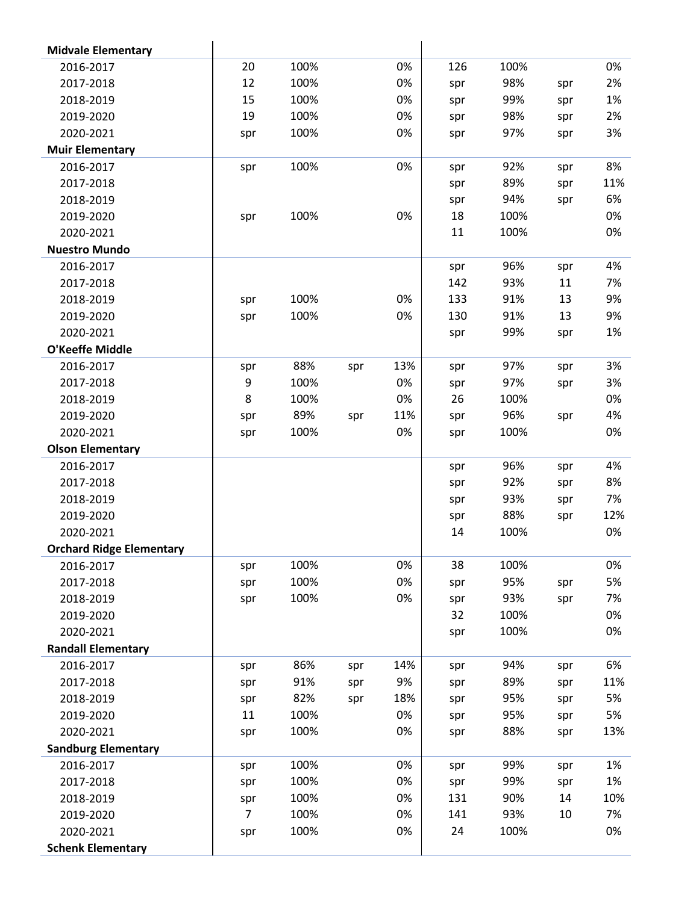| <b>Midvale Elementary</b>       |                |      |     |     |     |      |     |     |
|---------------------------------|----------------|------|-----|-----|-----|------|-----|-----|
| 2016-2017                       | 20             | 100% |     | 0%  | 126 | 100% |     | 0%  |
| 2017-2018                       | 12             | 100% |     | 0%  | spr | 98%  | spr | 2%  |
| 2018-2019                       | 15             | 100% |     | 0%  | spr | 99%  | spr | 1%  |
| 2019-2020                       | 19             | 100% |     | 0%  | spr | 98%  | spr | 2%  |
| 2020-2021                       | spr            | 100% |     | 0%  | spr | 97%  | spr | 3%  |
| <b>Muir Elementary</b>          |                |      |     |     |     |      |     |     |
| 2016-2017                       | spr            | 100% |     | 0%  | spr | 92%  | spr | 8%  |
| 2017-2018                       |                |      |     |     | spr | 89%  | spr | 11% |
| 2018-2019                       |                |      |     |     | spr | 94%  | spr | 6%  |
| 2019-2020                       | spr            | 100% |     | 0%  | 18  | 100% |     | 0%  |
| 2020-2021                       |                |      |     |     | 11  | 100% |     | 0%  |
| <b>Nuestro Mundo</b>            |                |      |     |     |     |      |     |     |
| 2016-2017                       |                |      |     |     | spr | 96%  | spr | 4%  |
| 2017-2018                       |                |      |     |     | 142 | 93%  | 11  | 7%  |
| 2018-2019                       | spr            | 100% |     | 0%  | 133 | 91%  | 13  | 9%  |
| 2019-2020                       | spr            | 100% |     | 0%  | 130 | 91%  | 13  | 9%  |
| 2020-2021                       |                |      |     |     | spr | 99%  | spr | 1%  |
| O'Keeffe Middle                 |                |      |     |     |     |      |     |     |
| 2016-2017                       | spr            | 88%  | spr | 13% | spr | 97%  | spr | 3%  |
| 2017-2018                       | 9              | 100% |     | 0%  | spr | 97%  | spr | 3%  |
| 2018-2019                       | 8              | 100% |     | 0%  | 26  | 100% |     | 0%  |
| 2019-2020                       | spr            | 89%  | spr | 11% | spr | 96%  | spr | 4%  |
| 2020-2021                       | spr            | 100% |     | 0%  | spr | 100% |     | 0%  |
| <b>Olson Elementary</b>         |                |      |     |     |     |      |     |     |
| 2016-2017                       |                |      |     |     | spr | 96%  | spr | 4%  |
| 2017-2018                       |                |      |     |     | spr | 92%  | spr | 8%  |
| 2018-2019                       |                |      |     |     | spr | 93%  | spr | 7%  |
| 2019-2020                       |                |      |     |     | spr | 88%  | spr | 12% |
| 2020-2021                       |                |      |     |     | 14  | 100% |     | 0%  |
| <b>Orchard Ridge Elementary</b> |                |      |     |     |     |      |     |     |
| 2016-2017                       | spr            | 100% |     | 0%  | 38  | 100% |     | 0%  |
| 2017-2018                       | spr            | 100% |     | 0%  | spr | 95%  | spr | 5%  |
| 2018-2019                       | spr            | 100% |     | 0%  | spr | 93%  | spr | 7%  |
| 2019-2020                       |                |      |     |     | 32  | 100% |     | 0%  |
| 2020-2021                       |                |      |     |     | spr | 100% |     | 0%  |
| <b>Randall Elementary</b>       |                |      |     |     |     |      |     |     |
| 2016-2017                       | spr            | 86%  | spr | 14% | spr | 94%  | spr | 6%  |
| 2017-2018                       | spr            | 91%  | spr | 9%  | spr | 89%  | spr | 11% |
| 2018-2019                       | spr            | 82%  | spr | 18% | spr | 95%  | spr | 5%  |
| 2019-2020                       | 11             | 100% |     | 0%  | spr | 95%  | spr | 5%  |
| 2020-2021                       | spr            | 100% |     | 0%  | spr | 88%  | spr | 13% |
| <b>Sandburg Elementary</b>      |                |      |     |     |     |      |     |     |
| 2016-2017                       | spr            | 100% |     | 0%  | spr | 99%  | spr | 1%  |
| 2017-2018                       | spr            | 100% |     | 0%  | spr | 99%  | spr | 1%  |
| 2018-2019                       | spr            | 100% |     | 0%  | 131 | 90%  | 14  | 10% |
| 2019-2020                       | $\overline{7}$ | 100% |     | 0%  | 141 | 93%  | 10  | 7%  |
| 2020-2021                       | spr            | 100% |     | 0%  | 24  | 100% |     | 0%  |
| <b>Schenk Elementary</b>        |                |      |     |     |     |      |     |     |
|                                 |                |      |     |     |     |      |     |     |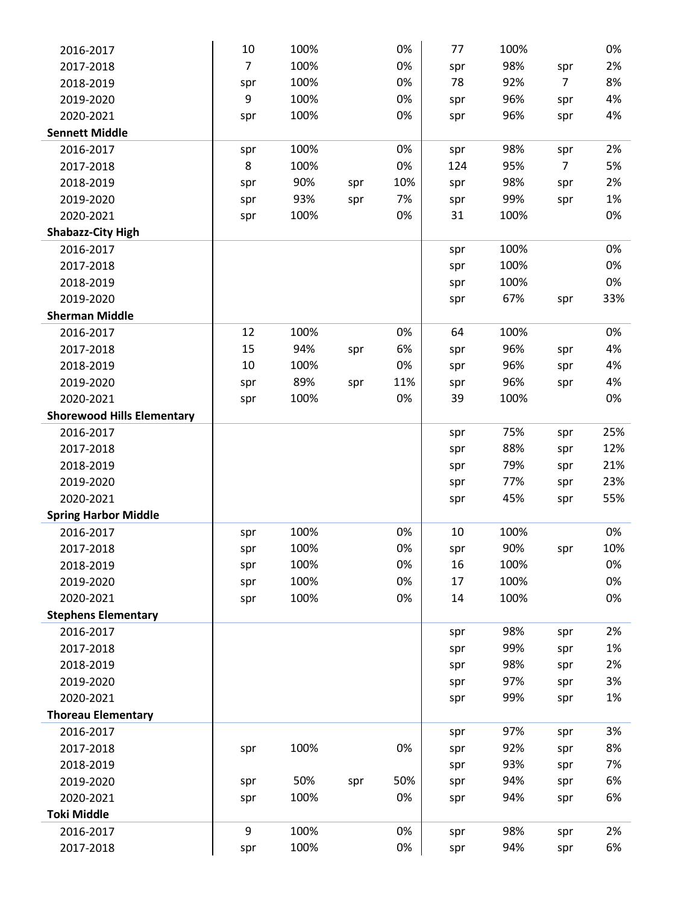| 2016-2017                         | 10             | 100% |     | 0%  | 77  | 100% |                | 0%  |
|-----------------------------------|----------------|------|-----|-----|-----|------|----------------|-----|
| 2017-2018                         | $\overline{7}$ | 100% |     | 0%  | spr | 98%  | spr            | 2%  |
| 2018-2019                         | spr            | 100% |     | 0%  | 78  | 92%  | $\overline{7}$ | 8%  |
| 2019-2020                         | 9              | 100% |     | 0%  | spr | 96%  | spr            | 4%  |
| 2020-2021                         | spr            | 100% |     | 0%  | spr | 96%  | spr            | 4%  |
| <b>Sennett Middle</b>             |                |      |     |     |     |      |                |     |
| 2016-2017                         | spr            | 100% |     | 0%  | spr | 98%  | spr            | 2%  |
| 2017-2018                         | 8              | 100% |     | 0%  | 124 | 95%  | $\overline{7}$ | 5%  |
| 2018-2019                         | spr            | 90%  | spr | 10% | spr | 98%  | spr            | 2%  |
| 2019-2020                         | spr            | 93%  | spr | 7%  | spr | 99%  | spr            | 1%  |
| 2020-2021                         | spr            | 100% |     | 0%  | 31  | 100% |                | 0%  |
| <b>Shabazz-City High</b>          |                |      |     |     |     |      |                |     |
| 2016-2017                         |                |      |     |     | spr | 100% |                | 0%  |
| 2017-2018                         |                |      |     |     | spr | 100% |                | 0%  |
| 2018-2019                         |                |      |     |     | spr | 100% |                | 0%  |
| 2019-2020                         |                |      |     |     | spr | 67%  | spr            | 33% |
| <b>Sherman Middle</b>             |                |      |     |     |     |      |                |     |
| 2016-2017                         | 12             | 100% |     | 0%  | 64  | 100% |                | 0%  |
| 2017-2018                         | 15             | 94%  | spr | 6%  | spr | 96%  | spr            | 4%  |
| 2018-2019                         | 10             | 100% |     | 0%  | spr | 96%  | spr            | 4%  |
| 2019-2020                         | spr            | 89%  | spr | 11% | spr | 96%  | spr            | 4%  |
| 2020-2021                         | spr            | 100% |     | 0%  | 39  | 100% |                | 0%  |
| <b>Shorewood Hills Elementary</b> |                |      |     |     |     |      |                |     |
| 2016-2017                         |                |      |     |     | spr | 75%  | spr            | 25% |
| 2017-2018                         |                |      |     |     | spr | 88%  | spr            | 12% |
| 2018-2019                         |                |      |     |     | spr | 79%  | spr            | 21% |
| 2019-2020                         |                |      |     |     | spr | 77%  | spr            | 23% |
| 2020-2021                         |                |      |     |     | spr | 45%  | spr            | 55% |
| <b>Spring Harbor Middle</b>       |                |      |     |     |     |      |                |     |
| 2016-2017                         | spr            | 100% |     | 0%  | 10  | 100% |                | 0%  |
| 2017-2018                         | spr            | 100% |     | 0%  | spr | 90%  | spr            | 10% |
| 2018-2019                         | spr            | 100% |     | 0%  | 16  | 100% |                | 0%  |
| 2019-2020                         | spr            | 100% |     | 0%  | 17  | 100% |                | 0%  |
| 2020-2021                         | spr            | 100% |     | 0%  | 14  | 100% |                | 0%  |
| <b>Stephens Elementary</b>        |                |      |     |     |     |      |                |     |
| 2016-2017                         |                |      |     |     | spr | 98%  | spr            | 2%  |
| 2017-2018                         |                |      |     |     | spr | 99%  | spr            | 1%  |
| 2018-2019                         |                |      |     |     | spr | 98%  | spr            | 2%  |
| 2019-2020                         |                |      |     |     | spr | 97%  | spr            | 3%  |
| 2020-2021                         |                |      |     |     | spr | 99%  | spr            | 1%  |
| <b>Thoreau Elementary</b>         |                |      |     |     |     |      |                |     |
| 2016-2017                         |                |      |     |     | spr | 97%  | spr            | 3%  |
| 2017-2018                         | spr            | 100% |     | 0%  | spr | 92%  | spr            | 8%  |
| 2018-2019                         |                |      |     |     | spr | 93%  | spr            | 7%  |
| 2019-2020                         | spr            | 50%  | spr | 50% | spr | 94%  | spr            | 6%  |
| 2020-2021                         | spr            | 100% |     | 0%  | spr | 94%  | spr            | 6%  |
| <b>Toki Middle</b>                | 9              | 100% |     |     |     | 98%  |                | 2%  |
| 2016-2017                         |                |      |     | 0%  | spr |      | spr            |     |
| 2017-2018                         | spr            | 100% |     | 0%  | spr | 94%  | spr            | 6%  |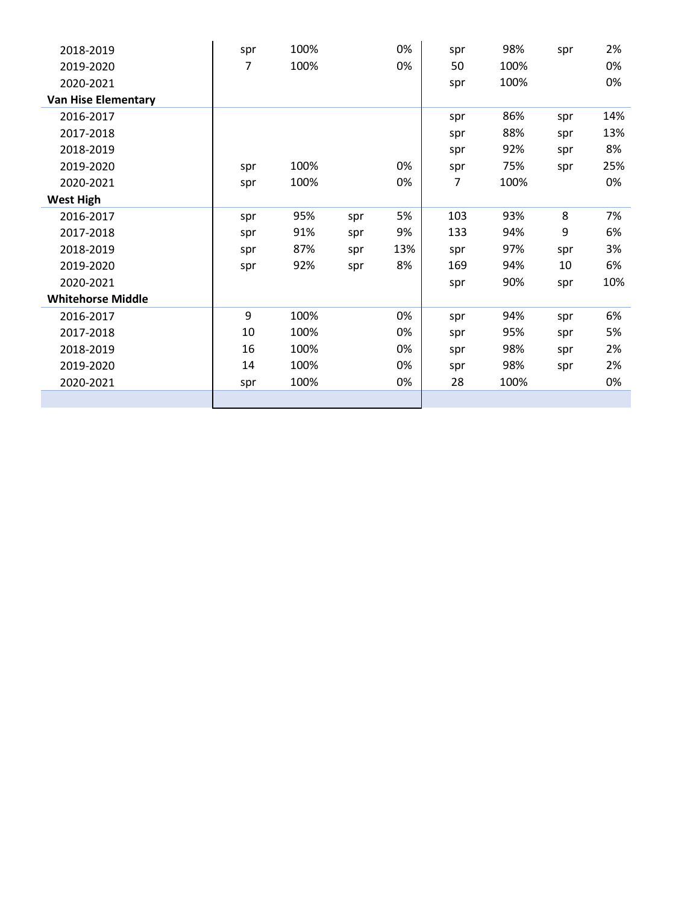| 2018-2019                  | spr | 100% |     | 0%  | spr | 98%  | spr | 2%  |
|----------------------------|-----|------|-----|-----|-----|------|-----|-----|
| 2019-2020                  | 7   | 100% |     | 0%  | 50  | 100% |     | 0%  |
| 2020-2021                  |     |      |     |     | spr | 100% |     | 0%  |
| <b>Van Hise Elementary</b> |     |      |     |     |     |      |     |     |
| 2016-2017                  |     |      |     |     | spr | 86%  | spr | 14% |
| 2017-2018                  |     |      |     |     | spr | 88%  | spr | 13% |
| 2018-2019                  |     |      |     |     | spr | 92%  | spr | 8%  |
| 2019-2020                  | spr | 100% |     | 0%  | spr | 75%  | spr | 25% |
| 2020-2021                  | spr | 100% |     | 0%  | 7   | 100% |     | 0%  |
| <b>West High</b>           |     |      |     |     |     |      |     |     |
| 2016-2017                  | spr | 95%  | spr | 5%  | 103 | 93%  | 8   | 7%  |
| 2017-2018                  | spr | 91%  | spr | 9%  | 133 | 94%  | 9   | 6%  |
| 2018-2019                  | spr | 87%  | spr | 13% | spr | 97%  | spr | 3%  |
| 2019-2020                  | spr | 92%  | spr | 8%  | 169 | 94%  | 10  | 6%  |
| 2020-2021                  |     |      |     |     | spr | 90%  | spr | 10% |
| <b>Whitehorse Middle</b>   |     |      |     |     |     |      |     |     |
| 2016-2017                  | 9   | 100% |     | 0%  | spr | 94%  | spr | 6%  |
| 2017-2018                  | 10  | 100% |     | 0%  | spr | 95%  | spr | 5%  |
| 2018-2019                  | 16  | 100% |     | 0%  | spr | 98%  | spr | 2%  |
| 2019-2020                  | 14  | 100% |     | 0%  | spr | 98%  | spr | 2%  |
| 2020-2021                  | spr | 100% |     | 0%  | 28  | 100% |     | 0%  |
|                            |     |      |     |     |     |      |     |     |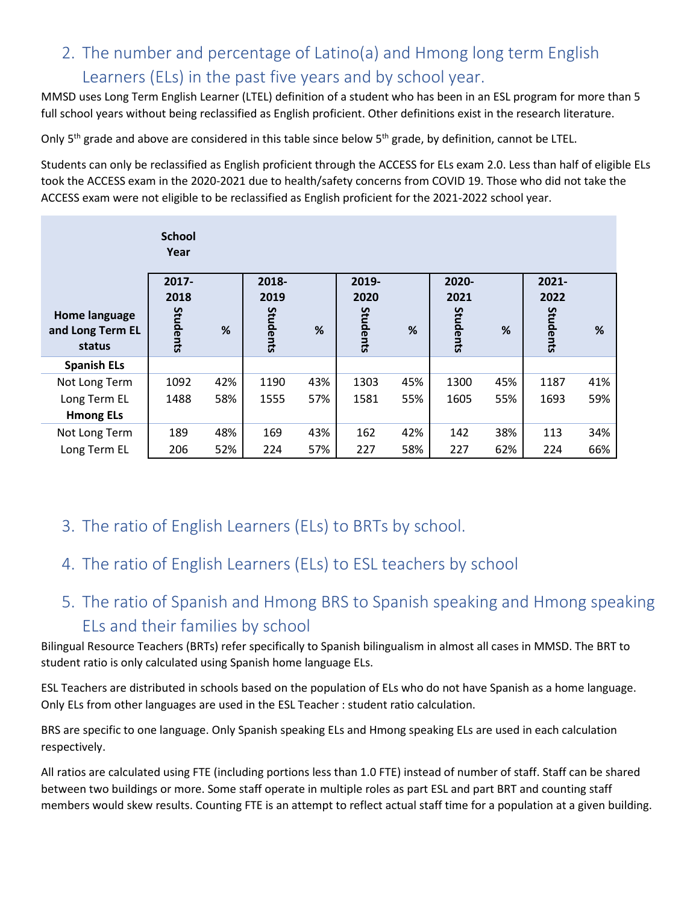# 2. The number and percentage of Latino(a) and Hmong long term English Learners (ELs) in the past five years and by school year.

MMSD uses Long Term English Learner (LTEL) definition of a student who has been in an ESL program for more than 5 full school years without being reclassified as English proficient. Other definitions exist in the research literature.

Only 5<sup>th</sup> grade and above are considered in this table since below 5<sup>th</sup> grade, by definition, cannot be LTEL.

Students can only be reclassified as English proficient through the ACCESS for ELs exam 2.0. Less than half of eligible ELs took the ACCESS exam in the 2020-2021 due to health/safety concerns from COVID 19. Those who did not take the ACCESS exam were not eligible to be reclassified as English proficient for the 2021-2022 school year.

|                            | <b>School</b><br>Year |     |               |     |               |     |               |     |                  |     |
|----------------------------|-----------------------|-----|---------------|-----|---------------|-----|---------------|-----|------------------|-----|
| Home language              | $2017 -$<br>2018      |     | 2018-<br>2019 |     | 2019-<br>2020 |     | 2020-<br>2021 |     | $2021 -$<br>2022 |     |
| and Long Term EL<br>status | Students              | %   | Students      | %   | Students      | %   | Students      | %   | Students         | %   |
| <b>Spanish ELs</b>         |                       |     |               |     |               |     |               |     |                  |     |
| Not Long Term              | 1092                  | 42% | 1190          | 43% | 1303          | 45% | 1300          | 45% | 1187             | 41% |
| Long Term EL               | 1488                  | 58% | 1555          | 57% | 1581          | 55% | 1605          | 55% | 1693             | 59% |
| <b>Hmong ELs</b>           |                       |     |               |     |               |     |               |     |                  |     |
| Not Long Term              | 189                   | 48% | 169           | 43% | 162           | 42% | 142           | 38% | 113              | 34% |
| Long Term EL               | 206                   | 52% | 224           | 57% | 227           | 58% | 227           | 62% | 224              | 66% |

- 3. The ratio of English Learners (ELs) to BRTs by school.
- 4. The ratio of English Learners (ELs) to ESL teachers by school
- 5. The ratio of Spanish and Hmong BRS to Spanish speaking and Hmong speaking ELs and their families by school

Bilingual Resource Teachers (BRTs) refer specifically to Spanish bilingualism in almost all cases in MMSD. The BRT to student ratio is only calculated using Spanish home language ELs.

ESL Teachers are distributed in schools based on the population of ELs who do not have Spanish as a home language. Only ELs from other languages are used in the ESL Teacher : student ratio calculation.

BRS are specific to one language. Only Spanish speaking ELs and Hmong speaking ELs are used in each calculation respectively.

All ratios are calculated using FTE (including portions less than 1.0 FTE) instead of number of staff. Staff can be shared between two buildings or more. Some staff operate in multiple roles as part ESL and part BRT and counting staff members would skew results. Counting FTE is an attempt to reflect actual staff time for a population at a given building.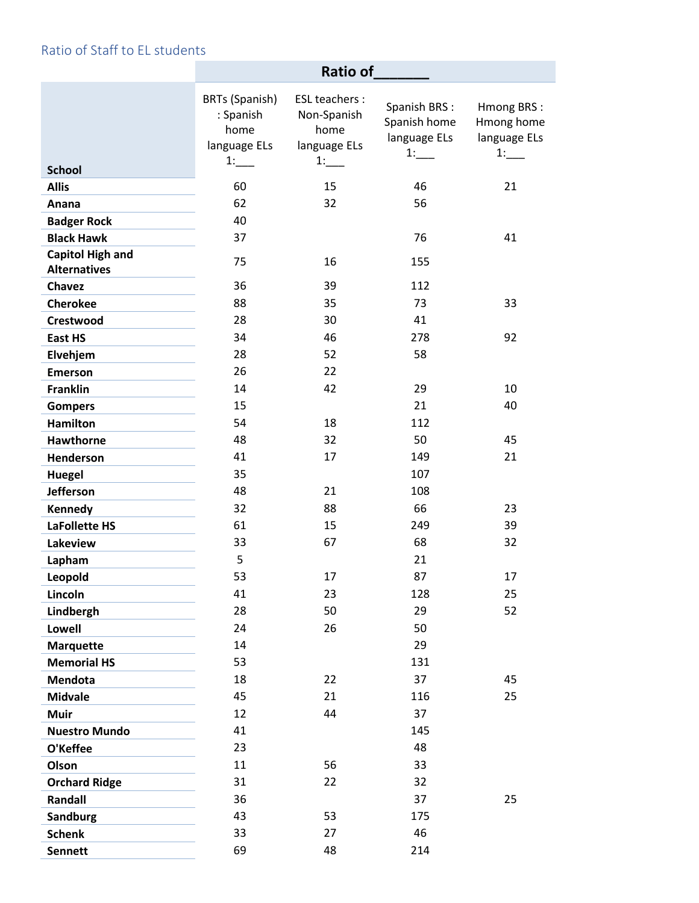## Ratio of Staff to EL students

|                                                | Ratio of                                                         |                                                                   |                                                    |                                                |
|------------------------------------------------|------------------------------------------------------------------|-------------------------------------------------------------------|----------------------------------------------------|------------------------------------------------|
| <b>School</b>                                  | <b>BRTs (Spanish)</b><br>: Spanish<br>home<br>language ELs<br>1: | <b>ESL teachers:</b><br>Non-Spanish<br>home<br>language ELs<br>1: | Spanish BRS:<br>Spanish home<br>language ELs<br>1: | Hmong BRS:<br>Hmong home<br>language ELs<br>1: |
| <b>Allis</b>                                   | 60                                                               | 15                                                                | 46                                                 | 21                                             |
| Anana                                          | 62                                                               | 32                                                                | 56                                                 |                                                |
| <b>Badger Rock</b>                             | 40                                                               |                                                                   |                                                    |                                                |
| <b>Black Hawk</b>                              | 37                                                               |                                                                   | 76                                                 | 41                                             |
| <b>Capitol High and</b><br><b>Alternatives</b> | 75                                                               | 16                                                                | 155                                                |                                                |
| <b>Chavez</b>                                  | 36                                                               | 39                                                                | 112                                                |                                                |
| <b>Cherokee</b>                                | 88                                                               | 35                                                                | 73                                                 | 33                                             |
| Crestwood                                      | 28                                                               | 30                                                                | 41                                                 |                                                |
| <b>East HS</b>                                 | 34                                                               | 46                                                                | 278                                                | 92                                             |
| Elvehjem                                       | 28                                                               | 52                                                                | 58                                                 |                                                |
| <b>Emerson</b>                                 | 26                                                               | 22                                                                |                                                    |                                                |
| <b>Franklin</b>                                | 14                                                               | 42                                                                | 29                                                 | 10                                             |
| <b>Gompers</b>                                 | 15                                                               |                                                                   | 21                                                 | 40                                             |
| <b>Hamilton</b>                                | 54                                                               | 18                                                                | 112                                                |                                                |
| <b>Hawthorne</b>                               | 48                                                               | 32                                                                | 50                                                 | 45                                             |
| Henderson                                      | 41                                                               | 17                                                                | 149                                                | 21                                             |
| <b>Huegel</b>                                  | 35                                                               |                                                                   | 107                                                |                                                |
| <b>Jefferson</b>                               | 48                                                               | 21                                                                | 108                                                |                                                |
| Kennedy                                        | 32                                                               | 88                                                                | 66                                                 | 23                                             |
| LaFollette HS                                  | 61                                                               | 15                                                                | 249                                                | 39                                             |
| Lakeview                                       | 33                                                               | 67                                                                | 68                                                 | 32                                             |
| Lapham                                         | 5                                                                |                                                                   | 21                                                 |                                                |
| Leopold                                        | 53                                                               | 17                                                                | 87                                                 | 17                                             |
| Lincoln                                        | 41                                                               | 23                                                                | 128                                                | 25                                             |
| Lindbergh                                      | 28                                                               | 50                                                                | 29                                                 | 52                                             |
| <b>Lowell</b>                                  | 24                                                               | 26                                                                | 50                                                 |                                                |
| <b>Marquette</b>                               | 14                                                               |                                                                   | 29                                                 |                                                |
| <b>Memorial HS</b>                             | 53                                                               |                                                                   | 131                                                |                                                |
| <b>Mendota</b>                                 | 18                                                               | 22                                                                | 37                                                 | 45                                             |
| <b>Midvale</b>                                 | 45                                                               | 21                                                                | 116                                                | 25                                             |
| Muir                                           | 12                                                               | 44                                                                | 37                                                 |                                                |
| <b>Nuestro Mundo</b>                           | 41                                                               |                                                                   | 145                                                |                                                |
| O'Keffee                                       | 23                                                               |                                                                   | 48                                                 |                                                |
| Olson                                          | 11                                                               | 56                                                                | 33                                                 |                                                |
| <b>Orchard Ridge</b><br><b>Randall</b>         | 31<br>36                                                         | 22                                                                | 32<br>37                                           | 25                                             |
| <b>Sandburg</b>                                | 43                                                               | 53                                                                | 175                                                |                                                |
| <b>Schenk</b>                                  | 33                                                               | 27                                                                | 46                                                 |                                                |
| <b>Sennett</b>                                 | 69                                                               | 48                                                                | 214                                                |                                                |
|                                                |                                                                  |                                                                   |                                                    |                                                |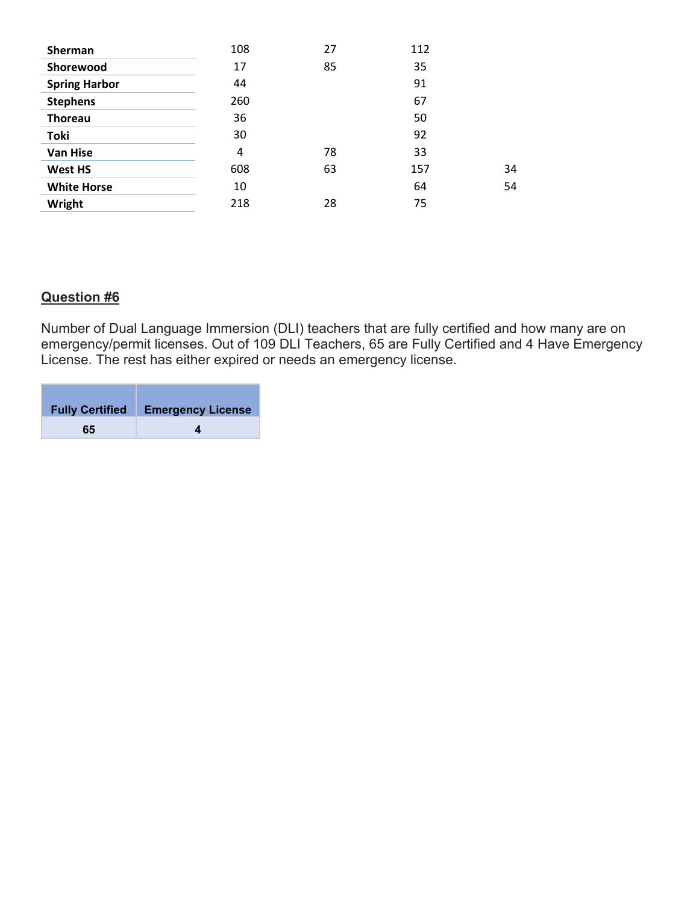| <b>Sherman</b>       | 108 | 27 | 112 |    |
|----------------------|-----|----|-----|----|
| Shorewood            | 17  | 85 | 35  |    |
| <b>Spring Harbor</b> | 44  |    | 91  |    |
| <b>Stephens</b>      | 260 |    | 67  |    |
| <b>Thoreau</b>       | 36  |    | 50  |    |
| <b>Toki</b>          | 30  |    | 92  |    |
| <b>Van Hise</b>      | 4   | 78 | 33  |    |
| <b>West HS</b>       | 608 | 63 | 157 | 34 |
| <b>White Horse</b>   | 10  |    | 64  | 54 |
| Wright               | 218 | 28 | 75  |    |

## **Question #6**

Number of Dual Language Immersion (DLI) teachers that are fully certified and how many are on emergency/permit licenses. Out of 109 DLI Teachers, 65 are Fully Certified and 4 Have Emergency License. The rest has either expired or needs an emergency license.

| <b>Fully Certified</b> | <b>Emergency License</b> |
|------------------------|--------------------------|
| 65                     |                          |